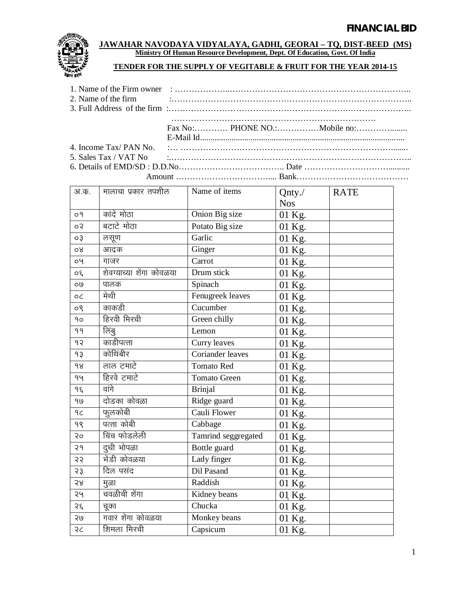

## **JAWAHAR NAVODAYA VIDYALAYA, GADHI, GEORAI – TQ, DIST-BEED (MS) Ministry Of Human Resource Development, Dept. Of Education, Govt. Of India**

## **TENDER FOR THE SUPPLY OF VEGITABLE & FRUIT FOR THE YEAR 2014-15**

| 5. Sales Tax / VAT No $\ldots$ $\ldots$ $\ldots$ $\ldots$ $\ldots$ $\ldots$ $\ldots$ $\ldots$ $\ldots$ $\ldots$ $\ldots$ $\ldots$ $\ldots$ $\ldots$ $\ldots$ |
|--------------------------------------------------------------------------------------------------------------------------------------------------------------|
|                                                                                                                                                              |
|                                                                                                                                                              |

| अ.क.      | मालाचा प्रकार तपशील      | Name of items       | Qnty./     | <b>RATE</b> |
|-----------|--------------------------|---------------------|------------|-------------|
|           |                          |                     | <b>Nos</b> |             |
| 09        | कांदे मोठा               | Onion Big size      | 01 Kg.     |             |
| ०२        | बटाटे मोठा               | Potato Big size     | 01 Kg.     |             |
| $\circ$ 3 | लसूण                     | Garlic              | 01 Kg.     |             |
| 98        | आद्रक                    | Ginger              | 01 Kg.     |             |
| oy        | गाजर                     | Carrot              | 01 Kg.     |             |
| $\circ$   | शेवग्याच्या शेंगा कोवळया | Drum stick          | 01 Kg.     |             |
| 09        | पालक                     | Spinach             | 01 Kg.     |             |
| оC        | मेथी                     | Fenugreek leaves    | 01 Kg.     |             |
| $\circ$   | काकडी                    | Cucumber            | 01 Kg.     |             |
| 90        | हिरवी मिरची              | Green chilly        | 01 Kg.     |             |
| 99        | लिंबु                    | Lemon               | 01 Kg.     |             |
| 92        | काडीपत्ता                | Curry leaves        | 01 Kg.     |             |
| 93        | कोथिंबीर                 | Coriander leaves    | 01 Kg.     |             |
| 98        | लाल टमाटे                | <b>Tomato Red</b>   | 01 Kg.     |             |
| 94        | हिरवे टमाटे              | Tomato Green        | 01 Kg.     |             |
| ۹ξ        | वांगे                    | <b>Brinjal</b>      | 01 Kg.     |             |
| 90        | दोडका कोवळा              | Ridge guard         | 01 Kg.     |             |
| 9<        | फुलकोबी                  | Cauli Flower        | 01 Kg.     |             |
| 98        | पत्ता कोबी               | Cabbage             | 01 Kg.     |             |
| २०        | चिंच फोडलेली             | Tamrind seggregated | 01 Kg.     |             |
| २१        | दुधी भोपळा               | Bottle guard        | 01 Kg.     |             |
| २२        | मेंडी कोवळया             | Lady finger         | 01 Kg.     |             |
| 53        | दिल पसंद                 | Dil Pasand          | 01 Kg.     |             |
| २४        | मुळा                     | Raddish             | 01 Kg.     |             |
| २५        | चवळीची शेंगा             | Kidney beans        | 01 Kg.     |             |
| २६        | चूका                     | Chucka              | 01 Kg.     |             |
| २७        | गवार शेंगा कोवळया        | Monkey beans        | 01 Kg.     |             |
| २८        | शिमला मिरची              | Capsicum            | 01 Kg.     |             |